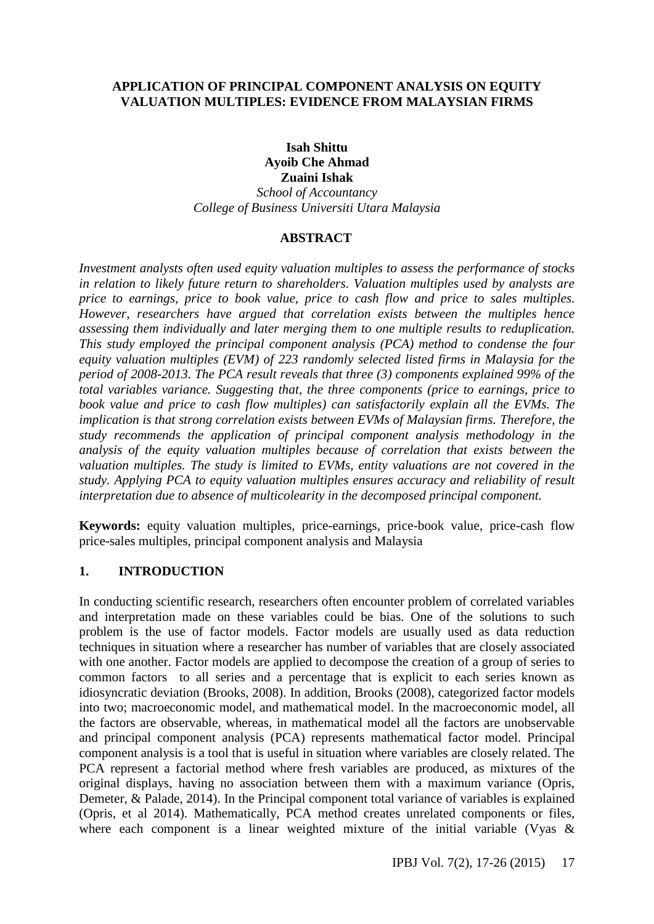### **APPLICATION OF PRINCIPAL COMPONENT ANALYSIS ON EQUITY VALUATION MULTIPLES: EVIDENCE FROM MALAYSIAN FIRMS**

#### **Isah Shittu Ayoib Che Ahmad Zuaini Ishak**

*School of Accountancy College of Business Universiti Utara Malaysia*

# **ABSTRACT**

*Investment analysts often used equity valuation multiples to assess the performance of stocks in relation to likely future return to shareholders. Valuation multiples used by analysts are price to earnings, price to book value, price to cash flow and price to sales multiples. However, researchers have argued that correlation exists between the multiples hence assessing them individually and later merging them to one multiple results to reduplication. This study employed the principal component analysis (PCA) method to condense the four equity valuation multiples (EVM) of 223 randomly selected listed firms in Malaysia for the period of 2008-2013. The PCA result reveals that three (3) components explained 99% of the total variables variance. Suggesting that, the three components (price to earnings, price to book value and price to cash flow multiples) can satisfactorily explain all the EVMs. The implication is that strong correlation exists between EVMs of Malaysian firms. Therefore, the study recommends the application of principal component analysis methodology in the analysis of the equity valuation multiples because of correlation that exists between the valuation multiples. The study is limited to EVMs, entity valuations are not covered in the study. Applying PCA to equity valuation multiples ensures accuracy and reliability of result interpretation due to absence of multicolearity in the decomposed principal component.*

**Keywords:** equity valuation multiples, price-earnings, price-book value, price-cash flow price-sales multiples, principal component analysis and Malaysia

# **1. INTRODUCTION**

In conducting scientific research, researchers often encounter problem of correlated variables and interpretation made on these variables could be bias. One of the solutions to such problem is the use of factor models. Factor models are usually used as data reduction techniques in situation where a researcher has number of variables that are closely associated with one another. Factor models are applied to decompose the creation of a group of series to common factors to all series and a percentage that is explicit to each series known as idiosyncratic deviation (Brooks, 2008). In addition, Brooks (2008), categorized factor models into two; macroeconomic model, and mathematical model. In the macroeconomic model, all the factors are observable, whereas, in mathematical model all the factors are unobservable and principal component analysis (PCA) represents mathematical factor model. Principal component analysis is a tool that is useful in situation where variables are closely related. The PCA represent a factorial method where fresh variables are produced, as mixtures of the original displays, having no association between them with a maximum variance (Opris, Demeter, & Palade, 2014). In the Principal component total variance of variables is explained (Opris, et al 2014). Mathematically, PCA method creates unrelated components or files, where each component is a linear weighted mixture of the initial variable (Vyas &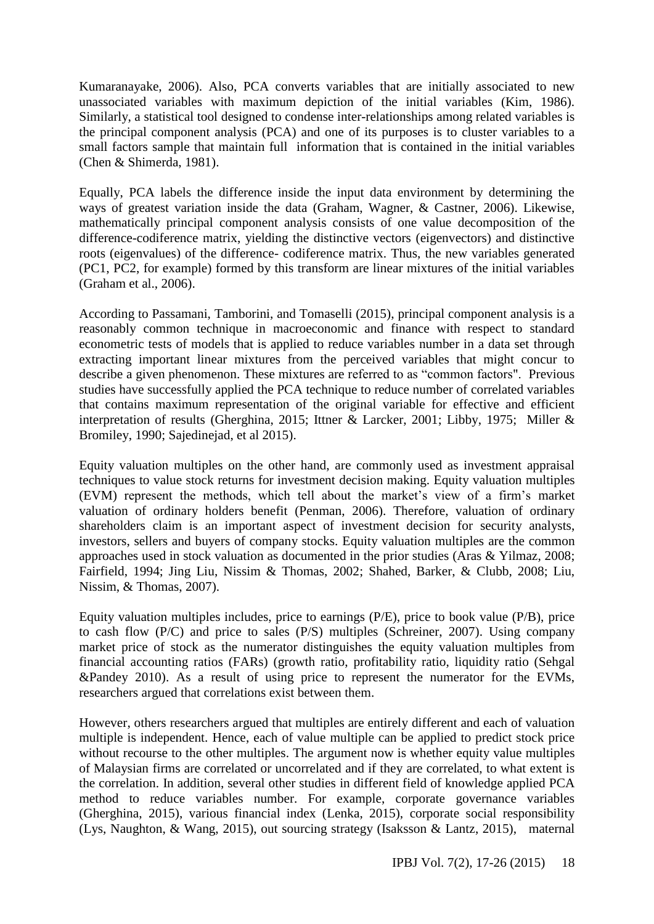Kumaranayake, 2006). Also, PCA converts variables that are initially associated to new unassociated variables with maximum depiction of the initial variables (Kim, 1986). Similarly, a statistical tool designed to condense inter-relationships among related variables is the principal component analysis (PCA) and one of its purposes is to cluster variables to a small factors sample that maintain full information that is contained in the initial variables (Chen & Shimerda, 1981).

Equally, PCA labels the difference inside the input data environment by determining the ways of greatest variation inside the data (Graham, Wagner, & Castner, 2006). Likewise, mathematically principal component analysis consists of one value decomposition of the difference-codiference matrix, yielding the distinctive vectors (eigenvectors) and distinctive roots (eigenvalues) of the difference- codiference matrix. Thus, the new variables generated (PC1, PC2, for example) formed by this transform are linear mixtures of the initial variables (Graham et al., 2006).

According to Passamani, Tamborini, and Tomaselli (2015), principal component analysis is a reasonably common technique in macroeconomic and finance with respect to standard econometric tests of models that is applied to reduce variables number in a data set through extracting important linear mixtures from the perceived variables that might concur to describe a given phenomenon. These mixtures are referred to as "common factors". Previous studies have successfully applied the PCA technique to reduce number of correlated variables that contains maximum representation of the original variable for effective and efficient interpretation of results (Gherghina, 2015; Ittner & Larcker, 2001; Libby, 1975; Miller & Bromiley, 1990; Sajedinejad, et al 2015).

Equity valuation multiples on the other hand, are commonly used as investment appraisal techniques to value stock returns for investment decision making. Equity valuation multiples (EVM) represent the methods, which tell about the market's view of a firm's market valuation of ordinary holders benefit (Penman, 2006). Therefore, valuation of ordinary shareholders claim is an important aspect of investment decision for security analysts, investors, sellers and buyers of company stocks. Equity valuation multiples are the common approaches used in stock valuation as documented in the prior studies (Aras & Yilmaz, 2008; Fairfield, 1994; Jing Liu, Nissim & Thomas, 2002; Shahed, Barker, & Clubb, 2008; Liu, Nissim, & Thomas, 2007).

Equity valuation multiples includes, price to earnings (P/E), price to book value (P/B), price to cash flow (P/C) and price to sales (P/S) multiples (Schreiner, 2007). Using company market price of stock as the numerator distinguishes the equity valuation multiples from financial accounting ratios (FARs) (growth ratio, profitability ratio, liquidity ratio (Sehgal &Pandey 2010). As a result of using price to represent the numerator for the EVMs, researchers argued that correlations exist between them.

However, others researchers argued that multiples are entirely different and each of valuation multiple is independent. Hence, each of value multiple can be applied to predict stock price without recourse to the other multiples. The argument now is whether equity value multiples of Malaysian firms are correlated or uncorrelated and if they are correlated, to what extent is the correlation. In addition, several other studies in different field of knowledge applied PCA method to reduce variables number. For example, corporate governance variables (Gherghina, 2015), various financial index (Lenka, 2015), corporate social responsibility (Lys, Naughton, & Wang, 2015), out sourcing strategy (Isaksson & Lantz, 2015), maternal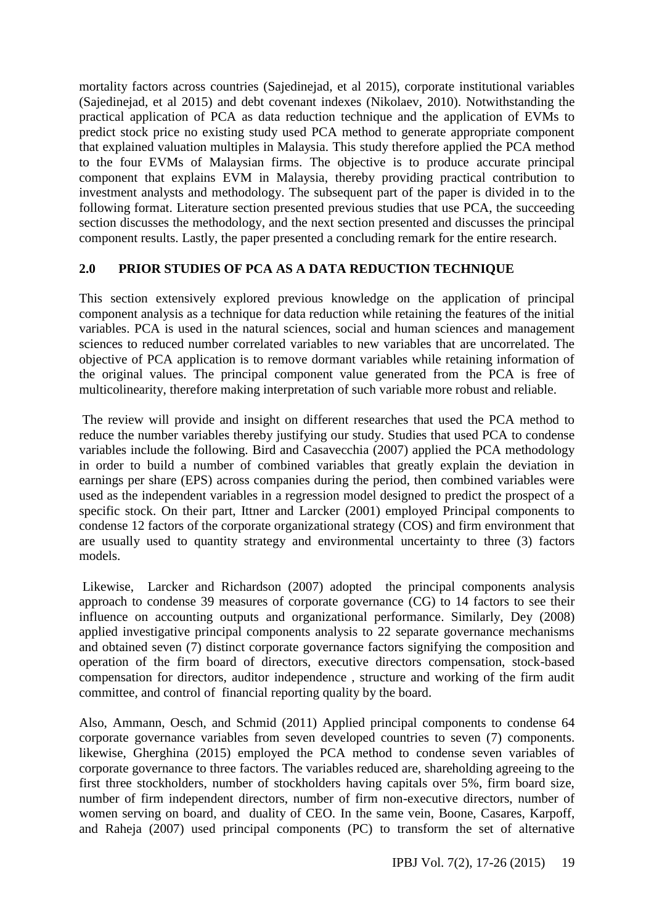mortality factors across countries (Sajedinejad, et al 2015), corporate institutional variables (Sajedinejad, et al 2015) and debt covenant indexes (Nikolaev, 2010). Notwithstanding the practical application of PCA as data reduction technique and the application of EVMs to predict stock price no existing study used PCA method to generate appropriate component that explained valuation multiples in Malaysia. This study therefore applied the PCA method to the four EVMs of Malaysian firms. The objective is to produce accurate principal component that explains EVM in Malaysia, thereby providing practical contribution to investment analysts and methodology. The subsequent part of the paper is divided in to the following format. Literature section presented previous studies that use PCA, the succeeding section discusses the methodology, and the next section presented and discusses the principal component results. Lastly, the paper presented a concluding remark for the entire research.

# **2.0 PRIOR STUDIES OF PCA AS A DATA REDUCTION TECHNIQUE**

This section extensively explored previous knowledge on the application of principal component analysis as a technique for data reduction while retaining the features of the initial variables. PCA is used in the natural sciences, social and human sciences and management sciences to reduced number correlated variables to new variables that are uncorrelated. The objective of PCA application is to remove dormant variables while retaining information of the original values. The principal component value generated from the PCA is free of multicolinearity, therefore making interpretation of such variable more robust and reliable.

The review will provide and insight on different researches that used the PCA method to reduce the number variables thereby justifying our study. Studies that used PCA to condense variables include the following. Bird and Casavecchia (2007) applied the PCA methodology in order to build a number of combined variables that greatly explain the deviation in earnings per share (EPS) across companies during the period, then combined variables were used as the independent variables in a regression model designed to predict the prospect of a specific stock. On their part, Ittner and Larcker (2001) employed Principal components to condense 12 factors of the corporate organizational strategy (COS) and firm environment that are usually used to quantity strategy and environmental uncertainty to three (3) factors models.

Likewise, Larcker and Richardson (2007) adopted the principal components analysis approach to condense 39 measures of corporate governance (CG) to 14 factors to see their influence on accounting outputs and organizational performance. Similarly, Dey (2008) applied investigative principal components analysis to 22 separate governance mechanisms and obtained seven (7) distinct corporate governance factors signifying the composition and operation of the firm board of directors, executive directors compensation, stock-based compensation for directors, auditor independence , structure and working of the firm audit committee, and control of financial reporting quality by the board.

Also, Ammann, Oesch, and Schmid (2011) Applied principal components to condense 64 corporate governance variables from seven developed countries to seven (7) components. likewise, Gherghina (2015) employed the PCA method to condense seven variables of corporate governance to three factors. The variables reduced are, shareholding agreeing to the first three stockholders, number of stockholders having capitals over 5%, firm board size, number of firm independent directors, number of firm non-executive directors, number of women serving on board, and duality of CEO. In the same vein, Boone, Casares, Karpoff, and Raheja (2007) used principal components (PC) to transform the set of alternative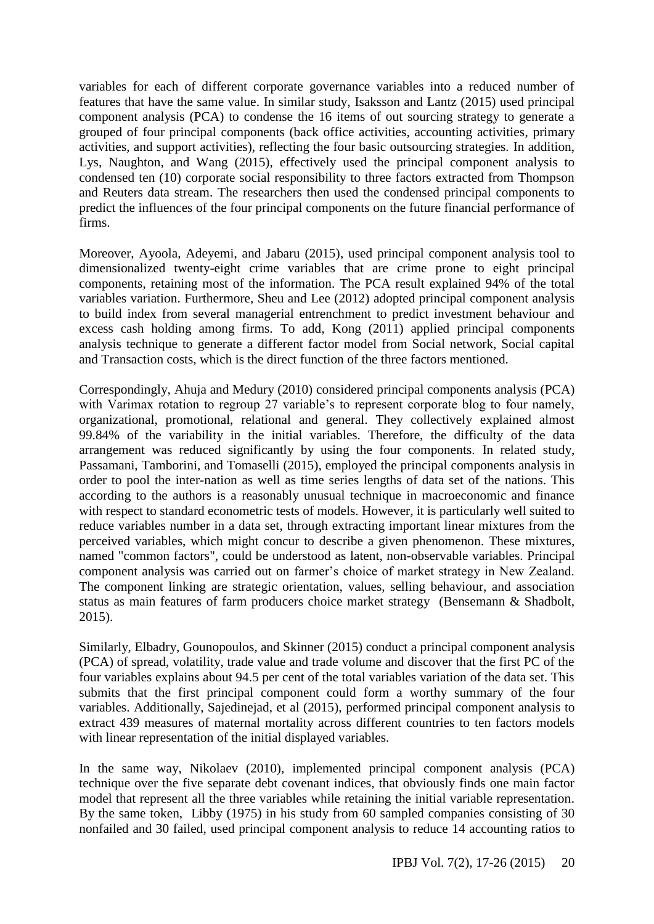variables for each of different corporate governance variables into a reduced number of features that have the same value. In similar study, Isaksson and Lantz (2015) used principal component analysis (PCA) to condense the 16 items of out sourcing strategy to generate a grouped of four principal components (back office activities, accounting activities, primary activities, and support activities), reflecting the four basic outsourcing strategies. In addition, Lys, Naughton, and Wang (2015), effectively used the principal component analysis to condensed ten (10) corporate social responsibility to three factors extracted from Thompson and Reuters data stream. The researchers then used the condensed principal components to predict the influences of the four principal components on the future financial performance of firms.

Moreover, Ayoola, Adeyemi, and Jabaru (2015), used principal component analysis tool to dimensionalized twenty-eight crime variables that are crime prone to eight principal components, retaining most of the information. The PCA result explained 94% of the total variables variation. Furthermore, Sheu and Lee (2012) adopted principal component analysis to build index from several managerial entrenchment to predict investment behaviour and excess cash holding among firms. To add, Kong (2011) applied principal components analysis technique to generate a different factor model from Social network, Social capital and Transaction costs, which is the direct function of the three factors mentioned.

Correspondingly, Ahuja and Medury (2010) considered principal components analysis (PCA) with Varimax rotation to regroup 27 variable's to represent corporate blog to four namely, organizational, promotional, relational and general. They collectively explained almost 99.84% of the variability in the initial variables. Therefore, the difficulty of the data arrangement was reduced significantly by using the four components. In related study, Passamani, Tamborini, and Tomaselli (2015), employed the principal components analysis in order to pool the inter-nation as well as time series lengths of data set of the nations. This according to the authors is a reasonably unusual technique in macroeconomic and finance with respect to standard econometric tests of models. However, it is particularly well suited to reduce variables number in a data set, through extracting important linear mixtures from the perceived variables, which might concur to describe a given phenomenon. These mixtures, named "common factors", could be understood as latent, non-observable variables. Principal component analysis was carried out on farmer's choice of market strategy in New Zealand. The component linking are strategic orientation, values, selling behaviour, and association status as main features of farm producers choice market strategy (Bensemann & Shadbolt, 2015).

Similarly, Elbadry, Gounopoulos, and Skinner (2015) conduct a principal component analysis (PCA) of spread, volatility, trade value and trade volume and discover that the first PC of the four variables explains about 94.5 per cent of the total variables variation of the data set. This submits that the first principal component could form a worthy summary of the four variables. Additionally, Sajedinejad, et al (2015), performed principal component analysis to extract 439 measures of maternal mortality across different countries to ten factors models with linear representation of the initial displayed variables.

In the same way, Nikolaev (2010), implemented principal component analysis (PCA) technique over the five separate debt covenant indices, that obviously finds one main factor model that represent all the three variables while retaining the initial variable representation. By the same token, Libby (1975) in his study from 60 sampled companies consisting of 30 nonfailed and 30 failed, used principal component analysis to reduce 14 accounting ratios to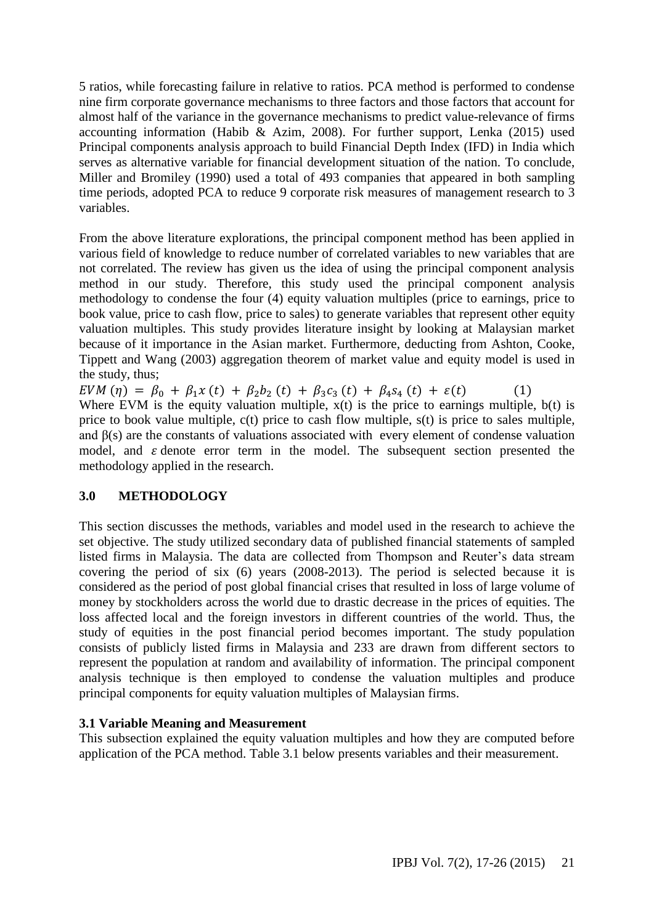5 ratios, while forecasting failure in relative to ratios. PCA method is performed to condense nine firm corporate governance mechanisms to three factors and those factors that account for almost half of the variance in the governance mechanisms to predict value-relevance of firms accounting information (Habib & Azim, 2008). For further support, Lenka (2015) used Principal components analysis approach to build Financial Depth Index (IFD) in India which serves as alternative variable for financial development situation of the nation. To conclude, Miller and Bromiley (1990) used a total of 493 companies that appeared in both sampling time periods, adopted PCA to reduce 9 corporate risk measures of management research to 3 variables.

From the above literature explorations, the principal component method has been applied in various field of knowledge to reduce number of correlated variables to new variables that are not correlated. The review has given us the idea of using the principal component analysis method in our study. Therefore, this study used the principal component analysis methodology to condense the four (4) equity valuation multiples (price to earnings, price to book value, price to cash flow, price to sales) to generate variables that represent other equity valuation multiples. This study provides literature insight by looking at Malaysian market because of it importance in the Asian market. Furthermore, deducting from Ashton, Cooke, Tippett and Wang (2003) aggregation theorem of market value and equity model is used in the study, thus;

 $EVM(\eta) = \beta_0 + \beta_1 x(t) + \beta_2 b_2(t) + \beta_3 c_3(t) + \beta_4 s_4(t) + \varepsilon(t)$ Where EVM is the equity valuation multiple,  $x(t)$  is the price to earnings multiple,  $b(t)$  is price to book value multiple, c(t) price to cash flow multiple, s(t) is price to sales multiple, and  $\beta(s)$  are the constants of valuations associated with every element of condense valuation model, and  $\varepsilon$  denote error term in the model. The subsequent section presented the methodology applied in the research.

### **3.0 METHODOLOGY**

This section discusses the methods, variables and model used in the research to achieve the set objective. The study utilized secondary data of published financial statements of sampled listed firms in Malaysia. The data are collected from Thompson and Reuter's data stream covering the period of six (6) years (2008-2013). The period is selected because it is considered as the period of post global financial crises that resulted in loss of large volume of money by stockholders across the world due to drastic decrease in the prices of equities. The loss affected local and the foreign investors in different countries of the world. Thus, the study of equities in the post financial period becomes important. The study population consists of publicly listed firms in Malaysia and 233 are drawn from different sectors to represent the population at random and availability of information. The principal component analysis technique is then employed to condense the valuation multiples and produce principal components for equity valuation multiples of Malaysian firms.

### **3.1 Variable Meaning and Measurement**

This subsection explained the equity valuation multiples and how they are computed before application of the PCA method. Table 3.1 below presents variables and their measurement.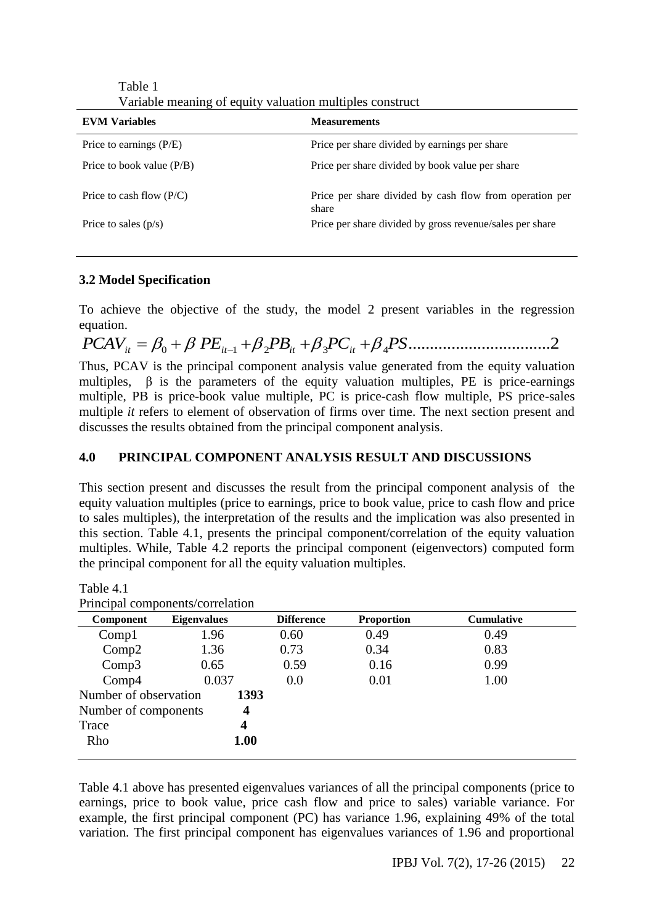| <b>EVM Variables</b>        | <b>Measurements</b>                                              |
|-----------------------------|------------------------------------------------------------------|
| Price to earnings $(P/E)$   | Price per share divided by earnings per share                    |
| Price to book value $(P/B)$ | Price per share divided by book value per share                  |
| Price to cash flow $(P/C)$  | Price per share divided by cash flow from operation per<br>share |
| Price to sales $(p/s)$      | Price per share divided by gross revenue/sales per share         |

Table 1 Variable meaning of equity valuation multiples construct

### **3.2 Model Specification**

To achieve the objective of the study, the model 2 present variables in the regression equation.

*PCAVit* <sup>0</sup> *PEit*<sup>1</sup> <sup>2</sup> *PBit* <sup>3</sup> *PCit* <sup>4</sup> *PS*.................................2 Thus, PCAV is the principal component analysis value generated from the equity valuation multiples,  $\beta$  is the parameters of the equity valuation multiples, PE is price-earnings multiple, PB is price-book value multiple, PC is price-cash flow multiple, PS price-sales multiple *it* refers to element of observation of firms over time. The next section present and discusses the results obtained from the principal component analysis.

# **4.0 PRINCIPAL COMPONENT ANALYSIS RESULT AND DISCUSSIONS**

This section present and discusses the result from the principal component analysis of the equity valuation multiples (price to earnings, price to book value, price to cash flow and price to sales multiples), the interpretation of the results and the implication was also presented in this section. Table 4.1, presents the principal component/correlation of the equity valuation multiples. While, Table 4.2 reports the principal component (eigenvectors) computed form the principal component for all the equity valuation multiples.

Table 4.1

|                       | Principal components/correlation |                   |                   |                   |  |
|-----------------------|----------------------------------|-------------------|-------------------|-------------------|--|
| <b>Component</b>      | <b>Eigenvalues</b>               | <b>Difference</b> | <b>Proportion</b> | <b>Cumulative</b> |  |
| Compl                 | 1.96                             | 0.60              | 0.49              | 0.49              |  |
| Comp2                 | 1.36                             | 0.73              | 0.34              | 0.83              |  |
| Comp3                 | 0.65                             | 0.59              | 0.16              | 0.99              |  |
| Comp4                 | 0.037                            | 0.0               | 0.01              | 1.00              |  |
| Number of observation | 1393                             |                   |                   |                   |  |
| Number of components  | $\overline{\mathbf{4}}$          |                   |                   |                   |  |
| Trace                 | 4                                |                   |                   |                   |  |
| Rho                   | 1.00                             |                   |                   |                   |  |

Table 4.1 above has presented eigenvalues variances of all the principal components (price to earnings, price to book value, price cash flow and price to sales) variable variance. For example, the first principal component (PC) has variance 1.96, explaining 49% of the total variation. The first principal component has eigenvalues variances of 1.96 and proportional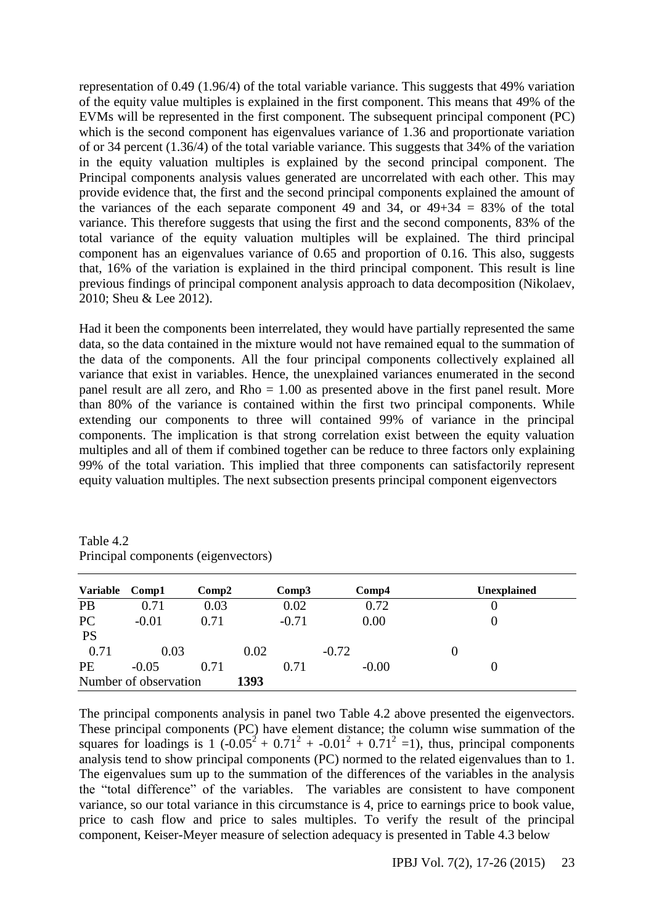representation of 0.49 (1.96/4) of the total variable variance. This suggests that 49% variation of the equity value multiples is explained in the first component. This means that 49% of the EVMs will be represented in the first component. The subsequent principal component (PC) which is the second component has eigenvalues variance of 1.36 and proportionate variation of or 34 percent (1.36/4) of the total variable variance. This suggests that 34% of the variation in the equity valuation multiples is explained by the second principal component. The Principal components analysis values generated are uncorrelated with each other. This may provide evidence that, the first and the second principal components explained the amount of the variances of the each separate component 49 and 34, or  $49+34 = 83\%$  of the total variance. This therefore suggests that using the first and the second components, 83% of the total variance of the equity valuation multiples will be explained. The third principal component has an eigenvalues variance of 0.65 and proportion of 0.16. This also, suggests that, 16% of the variation is explained in the third principal component. This result is line previous findings of principal component analysis approach to data decomposition (Nikolaev, 2010; Sheu & Lee 2012).

Had it been the components been interrelated, they would have partially represented the same data, so the data contained in the mixture would not have remained equal to the summation of the data of the components. All the four principal components collectively explained all variance that exist in variables. Hence, the unexplained variances enumerated in the second panel result are all zero, and Rho = 1.00 as presented above in the first panel result. More than 80% of the variance is contained within the first two principal components. While extending our components to three will contained 99% of variance in the principal components. The implication is that strong correlation exist between the equity valuation multiples and all of them if combined together can be reduce to three factors only explaining 99% of the total variation. This implied that three components can satisfactorily represent equity valuation multiples. The next subsection presents principal component eigenvectors

| <b>Variable</b> | Comp1                 | Comp2 |      | Comp3   |         | Comp <sub>4</sub> | <b>Unexplained</b> |  |
|-----------------|-----------------------|-------|------|---------|---------|-------------------|--------------------|--|
| PB              | 0.71                  | 0.03  |      | 0.02    |         | 0.72              |                    |  |
| <b>PC</b>       | $-0.01$               | 0.71  |      | $-0.71$ |         | 0.00              |                    |  |
| <b>PS</b>       |                       |       |      |         |         |                   |                    |  |
| 0.71            | 0.03                  |       | 0.02 |         | $-0.72$ |                   | 0                  |  |
| <b>PE</b>       | $-0.05$               | 0.71  |      | 0.71    |         | $-0.00$           | 0                  |  |
|                 | Number of observation |       | 1393 |         |         |                   |                    |  |

Table 4.2 Principal components (eigenvectors)

The principal components analysis in panel two Table 4.2 above presented the eigenvectors. These principal components (PC) have element distance; the column wise summation of the squares for loadings is 1  $(-0.05^2 + 0.71^2 + -0.01^2 + 0.71^2 = 1)$ , thus, principal components analysis tend to show principal components (PC) normed to the related eigenvalues than to 1. The eigenvalues sum up to the summation of the differences of the variables in the analysis the "total difference" of the variables. The variables are consistent to have component variance, so our total variance in this circumstance is 4, price to earnings price to book value, price to cash flow and price to sales multiples. To verify the result of the principal component, Keiser-Meyer measure of selection adequacy is presented in Table 4.3 below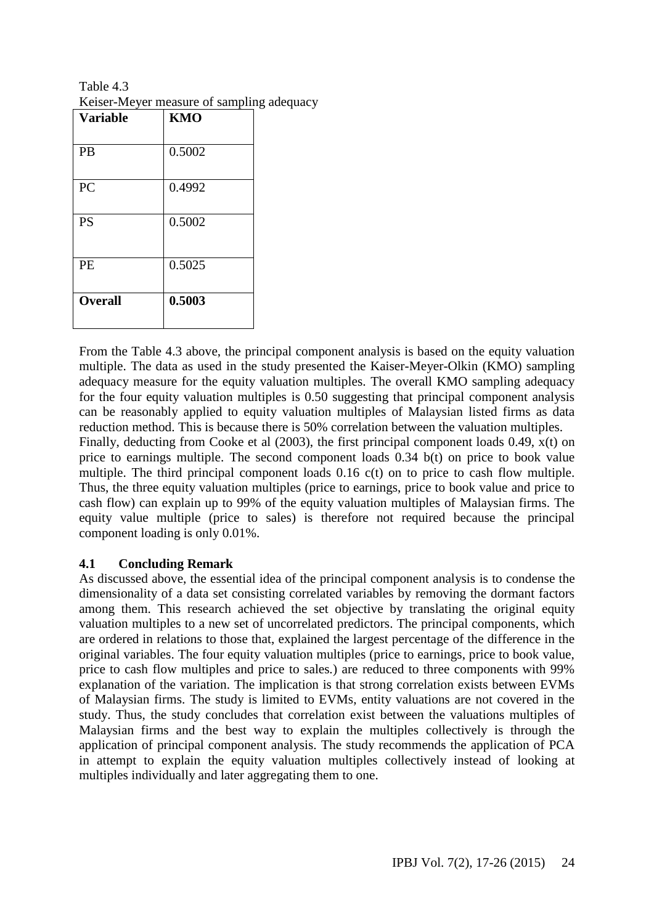Table 4.3 Keiser-Meyer measure of sampling adequacy

| <b>Variable</b> | <b>KMO</b> |
|-----------------|------------|
| PB              | 0.5002     |
| PC              | 0.4992     |
| PS              | 0.5002     |
| PE              | 0.5025     |
| <b>Overall</b>  | 0.5003     |

From the Table 4.3 above, the principal component analysis is based on the equity valuation multiple. The data as used in the study presented the Kaiser-Meyer-Olkin (KMO) sampling adequacy measure for the equity valuation multiples. The overall KMO sampling adequacy for the four equity valuation multiples is 0.50 suggesting that principal component analysis can be reasonably applied to equity valuation multiples of Malaysian listed firms as data reduction method. This is because there is 50% correlation between the valuation multiples. Finally, deducting from Cooke et al (2003), the first principal component loads 0.49, x(t) on price to earnings multiple. The second component loads 0.34 b(t) on price to book value multiple. The third principal component loads 0.16 c(t) on to price to cash flow multiple. Thus, the three equity valuation multiples (price to earnings, price to book value and price to cash flow) can explain up to 99% of the equity valuation multiples of Malaysian firms. The equity value multiple (price to sales) is therefore not required because the principal component loading is only 0.01%.

# **4.1 Concluding Remark**

As discussed above, the essential idea of the principal component analysis is to condense the dimensionality of a data set consisting correlated variables by removing the dormant factors among them. This research achieved the set objective by translating the original equity valuation multiples to a new set of uncorrelated predictors. The principal components, which are ordered in relations to those that, explained the largest percentage of the difference in the original variables. The four equity valuation multiples (price to earnings, price to book value, price to cash flow multiples and price to sales*.*) are reduced to three components with 99% explanation of the variation. The implication is that strong correlation exists between EVMs of Malaysian firms. The study is limited to EVMs, entity valuations are not covered in the study. Thus, the study concludes that correlation exist between the valuations multiples of Malaysian firms and the best way to explain the multiples collectively is through the application of principal component analysis. The study recommends the application of PCA in attempt to explain the equity valuation multiples collectively instead of looking at multiples individually and later aggregating them to one.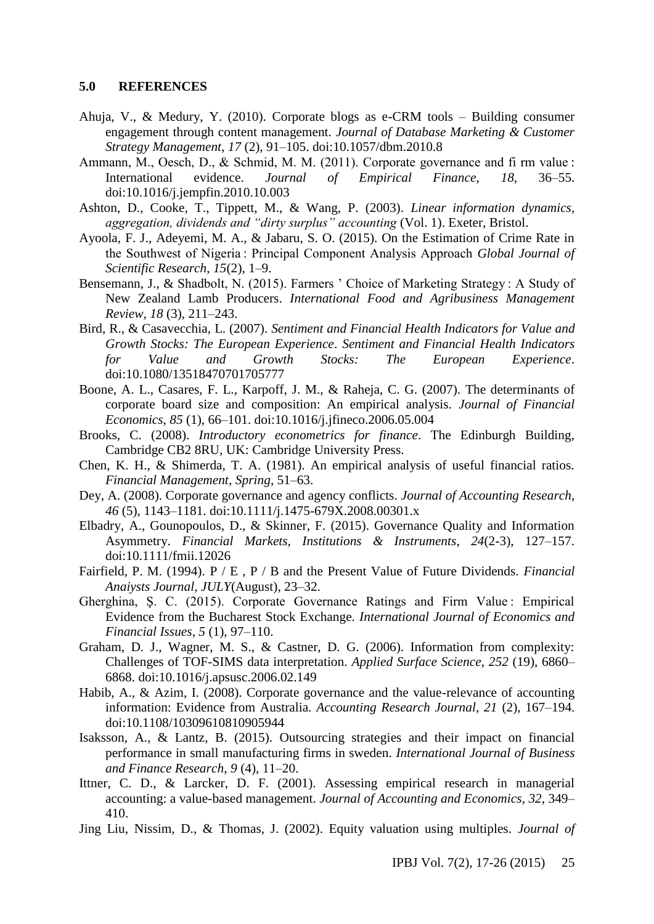#### **5.0 REFERENCES**

- Ahuja, V., & Medury, Y. (2010). Corporate blogs as e-CRM tools Building consumer engagement through content management. *Journal of Database Marketing & Customer Strategy Management*, *17* (2), 91–105. doi:10.1057/dbm.2010.8
- Ammann, M., Oesch, D., & Schmid, M. M. (2011). Corporate governance and fi rm value : International evidence. *Journal of Empirical Finance*, *18*, 36–55. doi:10.1016/j.jempfin.2010.10.003
- Ashton, D., Cooke, T., Tippett, M., & Wang, P. (2003). *Linear information dynamics, aggregation, dividends and "dirty surplus" accounting* (Vol. 1). Exeter, Bristol.
- Ayoola, F. J., Adeyemi, M. A., & Jabaru, S. O. (2015). On the Estimation of Crime Rate in the Southwest of Nigeria : Principal Component Analysis Approach *Global Journal of Scientific Research*, *15*(2), 1–9.
- Bensemann, J., & Shadbolt, N. (2015). Farmers ' Choice of Marketing Strategy : A Study of New Zealand Lamb Producers. *International Food and Agribusiness Management Review*, *18* (3), 211–243.
- Bird, R., & Casavecchia, L. (2007). *Sentiment and Financial Health Indicators for Value and Growth Stocks: The European Experience*. *Sentiment and Financial Health Indicators for Value and Growth Stocks: The European Experience*. doi:10.1080/13518470701705777
- Boone, A. L., Casares, F. L., Karpoff, J. M., & Raheja, C. G. (2007). The determinants of corporate board size and composition: An empirical analysis. *Journal of Financial Economics*, *85* (1), 66–101. doi:10.1016/j.jfineco.2006.05.004
- Brooks, C. (2008). *Introductory econometrics for finance*. The Edinburgh Building, Cambridge CB2 8RU, UK: Cambridge University Press.
- Chen, K. H., & Shimerda, T. A. (1981). An empirical analysis of useful financial ratios. *Financial Management*, *Spring*, 51–63.
- Dey, A. (2008). Corporate governance and agency conflicts. *Journal of Accounting Research*, *46* (5), 1143–1181. doi:10.1111/j.1475-679X.2008.00301.x
- Elbadry, A., Gounopoulos, D., & Skinner, F. (2015). Governance Quality and Information Asymmetry. *Financial Markets, Institutions & Instruments*, *24*(2-3), 127–157. doi:10.1111/fmii.12026
- Fairfield, P. M. (1994). P / E , P / B and the Present Value of Future Dividends. *Financial Anaiysts Journal*, *JULY*(August), 23–32.
- Gherghina, S. C. (2015). Corporate Governance Ratings and Firm Value : Empirical Evidence from the Bucharest Stock Exchange. *International Journal of Economics and Financial Issues*, *5* (1), 97–110.
- Graham, D. J., Wagner, M. S., & Castner, D. G. (2006). Information from complexity: Challenges of TOF-SIMS data interpretation. *Applied Surface Science*, *252* (19), 6860– 6868. doi:10.1016/j.apsusc.2006.02.149
- Habib, A., & Azim, I. (2008). Corporate governance and the value-relevance of accounting information: Evidence from Australia. *Accounting Research Journal*, *21* (2), 167–194. doi:10.1108/10309610810905944
- Isaksson, A., & Lantz, B. (2015). Outsourcing strategies and their impact on financial performance in small manufacturing firms in sweden. *International Journal of Business and Finance Research*, *9* (4), 11–20.
- Ittner, C. D., & Larcker, D. F. (2001). Assessing empirical research in managerial accounting: a value-based management. *Journal of Accounting and Economics*, *32*, 349– 410.
- Jing Liu, Nissim, D., & Thomas, J. (2002). Equity valuation using multiples. *Journal of*